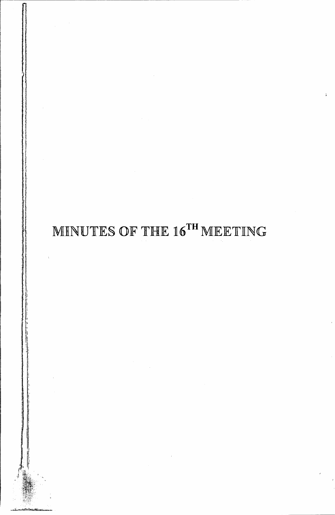# MINUTES OF THE  $16^{\text{TH}}$  MEETING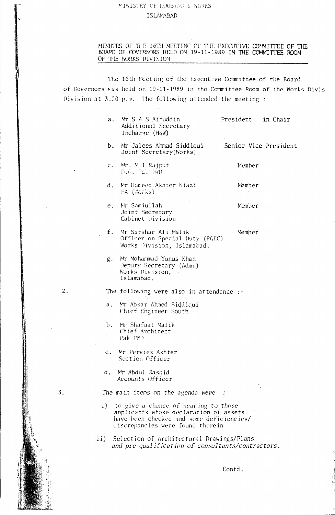# MINISTRY OF HOUSING & WORKS

#### **ISLAMABAD**

MINUTES OF THE 16TH MEETING OF THE EXECUTIVE COMMITTEE OF THE BOAPD OF COVERNORS HELD ON 19-11-1989 IN THE COMMITTEE ROOM OF THE WORKS DIVISION

The 16th Meeting of the Executive Committee of the Board of Governors was held on 19-11-1989 in the Committee Room of the Works Divis Division at 3.00 p.m. The following attended the meeting:

| $a_{\cdot}$    | Mr S A S Ainuddin<br>Additional Secretary<br>Incharge (H&W)                                                                                                       | President | in Chair              |
|----------------|-------------------------------------------------------------------------------------------------------------------------------------------------------------------|-----------|-----------------------|
| b.             | Mr Jalees Ahmad Siddiqui<br>Joint Secretary (Works)                                                                                                               |           | Senior Vice President |
| $\mathsf{C}$ . | Mr. M I Rajput<br>D.G. Pak FWD                                                                                                                                    | Member    |                       |
| d.             | Mr Hameed Akhter Niazi<br>FA (Works)                                                                                                                              | Member    |                       |
|                | e. Mr Samiullah<br>Joint Secretary<br>Cabinet Division                                                                                                            | Member    |                       |
| $f_{\star}$    | Mr Sarshar Ali Malik<br>Officer on Special Duty (P&EC)<br>Works Division, Islamabad.                                                                              | Member    |                       |
| $g_{\star}$    | Mr Mohammad Yunus Khan<br>Deputy Secretary (Admn)<br>Works Division,<br>Islamabad.                                                                                |           |                       |
|                | The following were also in attendance :-                                                                                                                          |           |                       |
| a.             | Mr Absar Ahmed Siddiqui<br>Chief Engineer South                                                                                                                   |           |                       |
|                | b. Mr Shafaat Malik<br>Chief Architect<br>Pak PM                                                                                                                  |           |                       |
| $\mathsf{c}$ . | Mr Perviez Akhter<br>Section Officer                                                                                                                              |           |                       |
| d.             | Mr Abdul Rashid<br>Accounts Officer                                                                                                                               |           |                       |
|                | The main items on the agenda were                                                                                                                                 |           |                       |
|                | i) to give a chance of hearing to those<br>applicants whose declaration of assets<br>have been checked and some deficiencies/<br>discrepancies were found therein |           |                       |
| ii)            | Selection of Architectural Drawings/Plans<br>and pre-qualification of consultants/contractors,                                                                    |           |                       |
|                |                                                                                                                                                                   |           |                       |

 $2.$ 

 $3.$ 

Contd.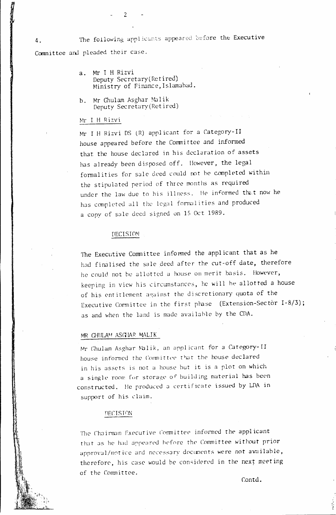The following applicants appeared before the Executive Committee and pleaded their case.

- Mr I H Rizvi  $a -$ Deputy Secretary (Retired) Ministry of Finance, Islamabad.
- Mr Ghulam Asghar Malik  $h_{-}$ Deputy Secretary (Retired)

2

### Mr I H Rizvi

Mr I H Rizvi DS (R) applicant for a Category-II house appeared before the Committee and informed that the house declared in his declaration of assets has already been disposed off. However, the legal formalities for sale deed could not be completed within the stipulated period of three months as required under the law due to his illness. He informed that now he has completed all the legal formulities and produced a copy of sale deed signed on 15 Oct 1989.

## **DECISION**

The Executive Committee informed the applicant that as he had finalised the sale deed after the cut-off date, therefore he could not be allotted a house on merit basis. However, keeping in view his circumstances, he will be allotted a house of his entitlement against the discretionary quota of the Executive Committee in the first phase (Extension-Sector I-8/3); as and when the land is made available by the CDA.

#### MR CHULAM ASGIAR MALIK

Mr Chulam Asghar Malik, an applicant for a Category-II house informed the Committee that the house declared in his assets is not a house but it is a plot on which a single room for storage of building material has been constructed. He produced a certificate issued by LDA in support of his claim.

#### DECISION

The Chairman Executive Committee informed the applicant that as he had appeared before the Committee without prior approval/notice and necessary documents were not available, therefore, his case would be considered in the next meeting of the Committee.

Contd.

 $4.$